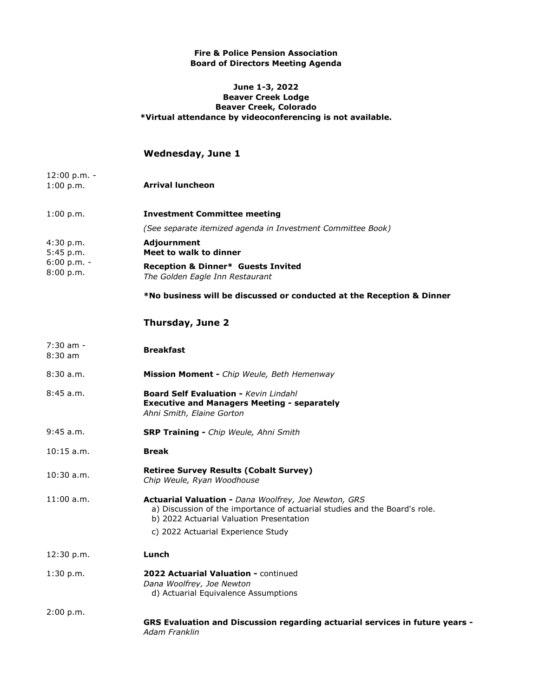## **Fire & Police Pension Association Board of Directors Meeting Agenda**

## **June 1-3, 2022 Beaver Creek Lodge Beaver Creek, Colorado \*Virtual attendance by videoconferencing is not available.**

## **Wednesday, June 1**

- 12:00 p.m. -<br>1:00 p.m. **Arrival luncheon**
- 1:00 p.m. **Investment Committee meeting** *(See separate itemized agenda in Investment Committee Book)* 4:30 p.m. **Adjournment** 5:45 p.m. **Meet to walk to dinner**
- 6:00 p.m. -<br>8:00 p.m. 8:00 p.m. **Reception & Dinner\* Guests Invited**  *The Golden Eagle Inn Restaurant*

**\*No business will be discussed or conducted at the Reception & Dinner**

## **Thursday, June 2**

| $7:30$ am -<br>$8:30$ am | <b>Breakfast</b>                                                                                                                                                                      |
|--------------------------|---------------------------------------------------------------------------------------------------------------------------------------------------------------------------------------|
| 8:30a.m.                 | Mission Moment - Chip Weule, Beth Hemenway                                                                                                                                            |
| 8:45a.m.                 | <b>Board Self Evaluation - Kevin Lindahl</b><br><b>Executive and Managers Meeting - separately</b><br>Ahni Smith, Elaine Gorton                                                       |
| $9:45$ a.m.              | <b>SRP Training - Chip Weule, Ahni Smith</b>                                                                                                                                          |
| $10:15$ a.m.             | <b>Break</b>                                                                                                                                                                          |
| $10:30$ a.m.             | <b>Retiree Survey Results (Cobalt Survey)</b><br>Chip Weule, Ryan Woodhouse                                                                                                           |
| $11:00$ a.m.             | <b>Actuarial Valuation - Dana Woolfrey, Joe Newton, GRS</b><br>a) Discussion of the importance of actuarial studies and the Board's role.<br>b) 2022 Actuarial Valuation Presentation |
|                          | c) 2022 Actuarial Experience Study                                                                                                                                                    |
| 12:30 p.m.               | Lunch                                                                                                                                                                                 |
| 1:30 p.m.                | 2022 Actuarial Valuation - continued<br>Dana Woolfrey, Joe Newton<br>d) Actuarial Equivalence Assumptions                                                                             |
| 2:00 p.m.                | GRS Evaluation and Discussion regarding actuarial services in future years -<br>Adam Franklin                                                                                         |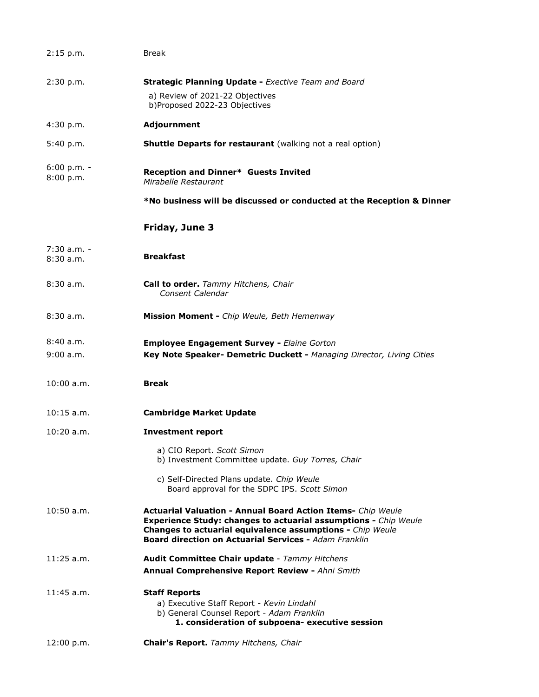| 2:15 p.m.                  | <b>Break</b>                                                                                                                                                                                                                                                              |
|----------------------------|---------------------------------------------------------------------------------------------------------------------------------------------------------------------------------------------------------------------------------------------------------------------------|
| 2:30 p.m.                  | <b>Strategic Planning Update - Exective Team and Board</b>                                                                                                                                                                                                                |
|                            | a) Review of 2021-22 Objectives<br>b)Proposed 2022-23 Objectives                                                                                                                                                                                                          |
| 4:30 p.m.                  | <b>Adjournment</b>                                                                                                                                                                                                                                                        |
| 5:40 p.m.                  | <b>Shuttle Departs for restaurant</b> (walking not a real option)                                                                                                                                                                                                         |
| $6:00 p.m. -$<br>8:00 p.m. | Reception and Dinner* Guests Invited<br>Mirabelle Restaurant                                                                                                                                                                                                              |
|                            | *No business will be discussed or conducted at the Reception & Dinner                                                                                                                                                                                                     |
|                            | Friday, June 3                                                                                                                                                                                                                                                            |
| 7:30 a.m. -                |                                                                                                                                                                                                                                                                           |
| 8:30 a.m.                  | <b>Breakfast</b>                                                                                                                                                                                                                                                          |
| 8:30 a.m.                  | <b>Call to order.</b> Tammy Hitchens, Chair<br>Consent Calendar                                                                                                                                                                                                           |
| 8:30 a.m.                  | Mission Moment - Chip Weule, Beth Hemenway                                                                                                                                                                                                                                |
| 8:40 a.m.                  | <b>Employee Engagement Survey - Elaine Gorton</b>                                                                                                                                                                                                                         |
| 9:00 a.m.                  | Key Note Speaker- Demetric Duckett - Managing Director, Living Cities                                                                                                                                                                                                     |
| $10:00$ a.m.               | <b>Break</b>                                                                                                                                                                                                                                                              |
| $10:15$ a.m.               | <b>Cambridge Market Update</b>                                                                                                                                                                                                                                            |
| $10:20$ a.m.               | <b>Investment report</b>                                                                                                                                                                                                                                                  |
|                            | a) CIO Report. Scott Simon<br>b) Investment Committee update. Guy Torres, Chair                                                                                                                                                                                           |
|                            | c) Self-Directed Plans update. Chip Weule<br>Board approval for the SDPC IPS. Scott Simon                                                                                                                                                                                 |
| 10:50 a.m.                 | <b>Actuarial Valuation - Annual Board Action Items- Chip Weule</b><br><b>Experience Study: changes to actuarial assumptions - Chip Weule</b><br>Changes to actuarial equivalence assumptions - Chip Weule<br><b>Board direction on Actuarial Services - Adam Franklin</b> |
| $11:25$ a.m.               | Audit Committee Chair update - Tammy Hitchens                                                                                                                                                                                                                             |
|                            | Annual Comprehensive Report Review - Ahni Smith                                                                                                                                                                                                                           |
| $11:45$ a.m.               | <b>Staff Reports</b>                                                                                                                                                                                                                                                      |
|                            | a) Executive Staff Report - Kevin Lindahl<br>b) General Counsel Report - Adam Franklin                                                                                                                                                                                    |
|                            | 1. consideration of subpoena- executive session                                                                                                                                                                                                                           |
| 12:00 p.m.                 | Chair's Report. Tammy Hitchens, Chair                                                                                                                                                                                                                                     |